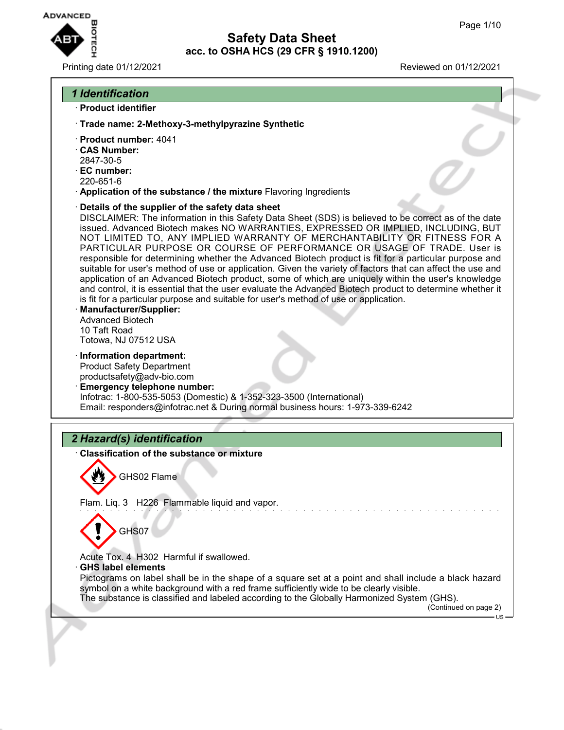

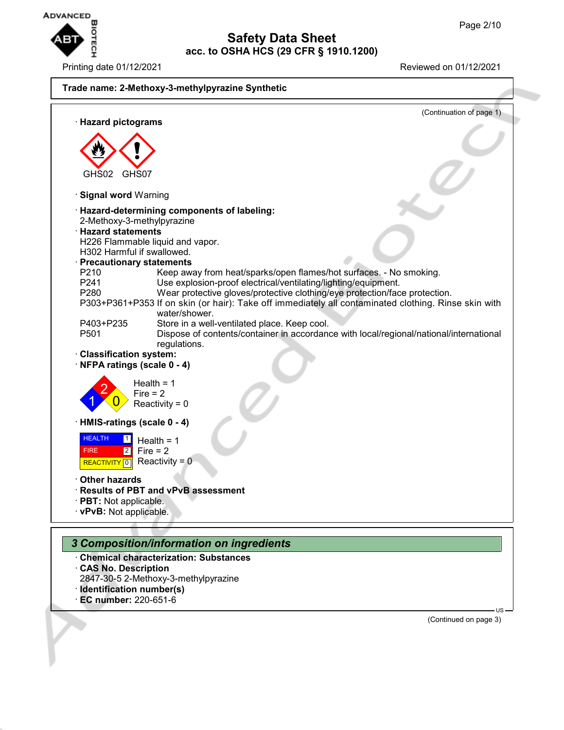

Printing date 01/12/2021 Reviewed on 01/12/2021



- · **CAS No. Description**
- 2847-30-5 2-Methoxy-3-methylpyrazine
- · **Identification number(s)**
- · **EC number:** 220-651-6

(Continued on page 3)

US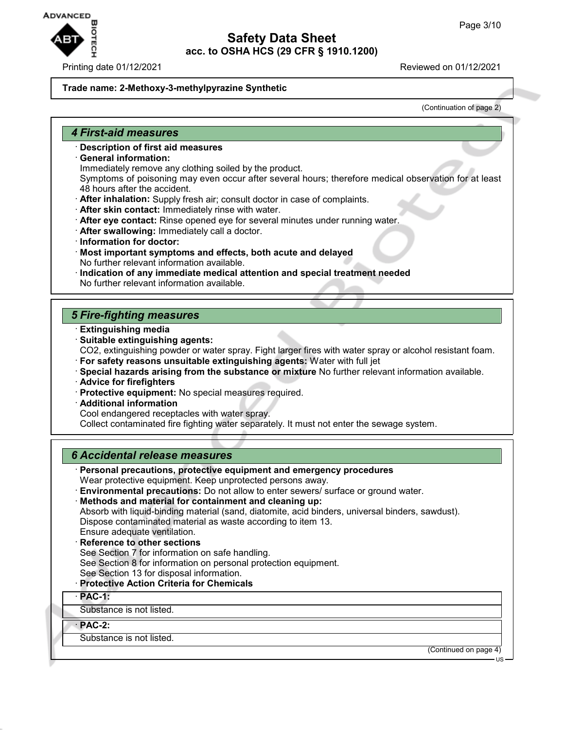**ADVANCED** 

# **Safety Data Sheet acc. to OSHA HCS (29 CFR § 1910.1200)**

Printing date 01/12/2021 Reviewed on 01/12/2021

#### **Trade name: 2-Methoxy-3-methylpyrazine Synthetic**

(Continuation of page 2)

#### *4 First-aid measures*

- · **Description of first aid measures**
- · **General information:**
	- Immediately remove any clothing soiled by the product.
	- Symptoms of poisoning may even occur after several hours; therefore medical observation for at least 48 hours after the accident.
- · **After inhalation:** Supply fresh air; consult doctor in case of complaints.
- · **After skin contact:** Immediately rinse with water.
- · **After eye contact:** Rinse opened eye for several minutes under running water.
- · **After swallowing:** Immediately call a doctor.
- · **Information for doctor:**
- · **Most important symptoms and effects, both acute and delayed** No further relevant information available.
- · **Indication of any immediate medical attention and special treatment needed** No further relevant information available.

## *5 Fire-fighting measures*

- · **Extinguishing media**
- · **Suitable extinguishing agents:** CO2, extinguishing powder or water spray. Fight larger fires with water spray or alcohol resistant foam.
- · **For safety reasons unsuitable extinguishing agents:** Water with full jet
- · **Special hazards arising from the substance or mixture** No further relevant information available.
- · **Advice for firefighters**
- · **Protective equipment:** No special measures required.
- · **Additional information**

Cool endangered receptacles with water spray.

Collect contaminated fire fighting water separately. It must not enter the sewage system.

## *6 Accidental release measures*

- · **Personal precautions, protective equipment and emergency procedures** Wear protective equipment. Keep unprotected persons away.
- · **Environmental precautions:** Do not allow to enter sewers/ surface or ground water.
- · **Methods and material for containment and cleaning up:**

Absorb with liquid-binding material (sand, diatomite, acid binders, universal binders, sawdust).

Dispose contaminated material as waste according to item 13.

- Ensure adequate ventilation.
- · **Reference to other sections**
- See Section 7 for information on safe handling.

See Section 8 for information on personal protection equipment.

See Section 13 for disposal information.

· **Protective Action Criteria for Chemicals**

· **PAC-1:**

Substance is not listed.

· **PAC-2:**

Substance is not listed.

(Continued on page 4)

US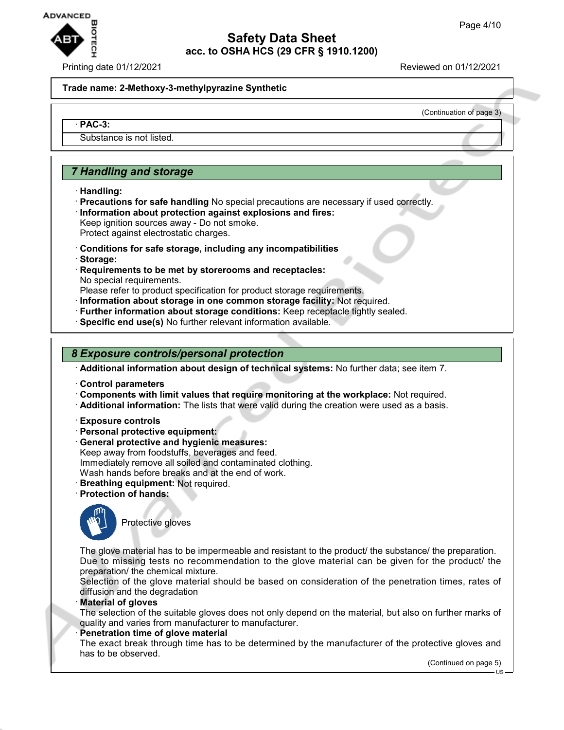

Printing date 01/12/2021 Reviewed on 01/12/2021

(Continuation of page 3)

#### **Trade name: 2-Methoxy-3-methylpyrazine Synthetic**

#### · **PAC-3:**

Substance is not listed.

## *7 Handling and storage*

- · **Handling:**
- · **Precautions for safe handling** No special precautions are necessary if used correctly. · **Information about protection against explosions and fires:** Keep ignition sources away - Do not smoke.
- Protect against electrostatic charges.
- · **Conditions for safe storage, including any incompatibilities**
- · **Storage:**
- · **Requirements to be met by storerooms and receptacles:** No special requirements.
- Please refer to product specification for product storage requirements.
- · **Information about storage in one common storage facility:** Not required.
- · **Further information about storage conditions:** Keep receptacle tightly sealed.
- · **Specific end use(s)** No further relevant information available.

#### *8 Exposure controls/personal protection*

· **Additional information about design of technical systems:** No further data; see item 7.

- · **Control parameters**
- · **Components with limit values that require monitoring at the workplace:** Not required.
- · **Additional information:** The lists that were valid during the creation were used as a basis.
- · **Exposure controls**
- · **Personal protective equipment:**
- · **General protective and hygienic measures:** Keep away from foodstuffs, beverages and feed. Immediately remove all soiled and contaminated clothing. Wash hands before breaks and at the end of work.
- · **Breathing equipment:** Not required.
- · **Protection of hands:**



Protective gloves

The glove material has to be impermeable and resistant to the product/ the substance/ the preparation. Due to missing tests no recommendation to the glove material can be given for the product/ the preparation/ the chemical mixture.

Selection of the glove material should be based on consideration of the penetration times, rates of diffusion and the degradation

· **Material of gloves**

The selection of the suitable gloves does not only depend on the material, but also on further marks of quality and varies from manufacturer to manufacturer.

**Penetration time of glove material** 

The exact break through time has to be determined by the manufacturer of the protective gloves and has to be observed.

(Continued on page 5)

US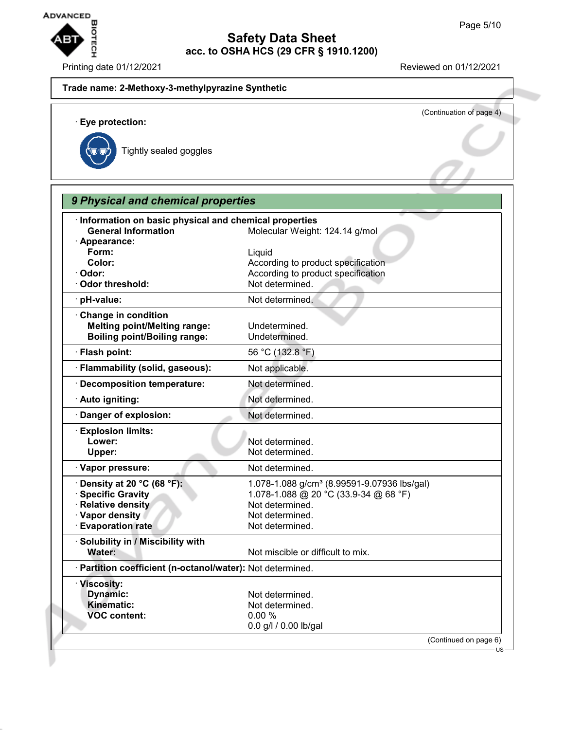

· **Eye protection:**

Printing date 01/12/2021 **Reviewed on 01/12/2021** 

## **Trade name: 2-Methoxy-3-methylpyrazine Synthetic**

(Continuation of page 4)

Tightly sealed goggles

| Information on basic physical and chemical properties                      |                                                         |
|----------------------------------------------------------------------------|---------------------------------------------------------|
| <b>General Information</b>                                                 | Molecular Weight: 124.14 g/mol                          |
| · Appearance:                                                              |                                                         |
| Form:                                                                      | Liquid                                                  |
| Color:                                                                     | According to product specification                      |
| Odor:<br><b>Odor threshold:</b>                                            | According to product specification<br>Not determined.   |
|                                                                            |                                                         |
| · pH-value:                                                                | Not determined.                                         |
| Change in condition                                                        |                                                         |
| <b>Melting point/Melting range:</b><br><b>Boiling point/Boiling range:</b> | Undetermined.                                           |
|                                                                            | Undetermined.                                           |
| · Flash point:                                                             | 56 °C (132.8 °F)                                        |
| · Flammability (solid, gaseous):                                           | Not applicable.                                         |
| <b>Decomposition temperature:</b>                                          | Not determined.                                         |
| · Auto igniting:                                                           | Not determined.                                         |
| Danger of explosion:                                                       | Not determined.                                         |
| <b>Explosion limits:</b>                                                   |                                                         |
| Lower:                                                                     | Not determined.                                         |
| Upper:                                                                     | Not determined.                                         |
| · Vapor pressure:                                                          | Not determined.                                         |
| $\cdot$ Density at 20 °C (68 °F):                                          | 1.078-1.088 g/cm <sup>3</sup> (8.99591-9.07936 lbs/gal) |
| <b>Specific Gravity</b>                                                    | 1.078-1.088 @ 20 °C (33.9-34 @ 68 °F)                   |
| · Relative density                                                         | Not determined.                                         |
| · Vapor density                                                            | Not determined.                                         |
| <b>Evaporation rate</b>                                                    | Not determined.                                         |
| Solubility in / Miscibility with<br>Water:                                 | Not miscible or difficult to mix.                       |
|                                                                            |                                                         |
| · Partition coefficient (n-octanol/water): Not determined.                 |                                                         |
| · Viscosity:                                                               |                                                         |
| <b>Dynamic:</b><br>Kinematic:                                              | Not determined.<br>Not determined.                      |
| <b>VOC content:</b>                                                        | 0.00%                                                   |
|                                                                            | 0.0 g/l / 0.00 lb/gal                                   |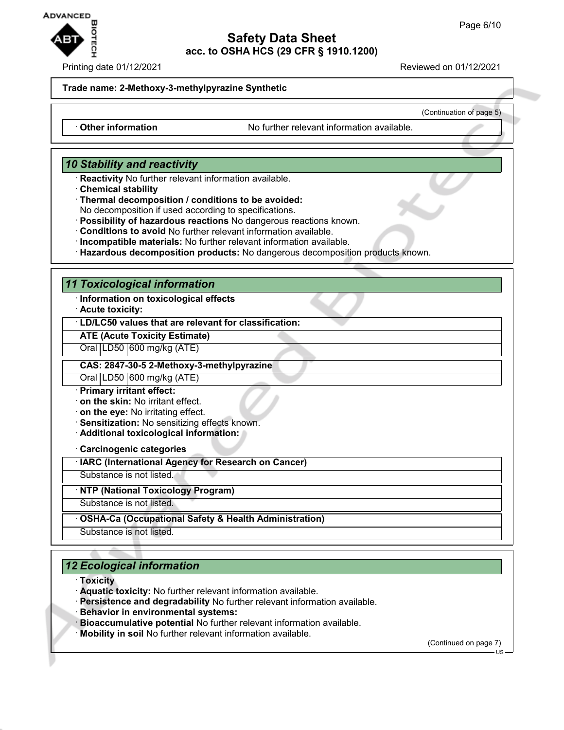

#### Printing date 01/12/2021 **Reviewed on 01/12/2021**

(Continuation of page 5)

#### **Trade name: 2-Methoxy-3-methylpyrazine Synthetic**

· Other information **Outable** No further relevant information available.

## *10 Stability and reactivity*

- · **Reactivity** No further relevant information available.
- · **Chemical stability**
- · **Thermal decomposition / conditions to be avoided:**

No decomposition if used according to specifications.

- · **Possibility of hazardous reactions** No dangerous reactions known.
- · **Conditions to avoid** No further relevant information available.
- · **Incompatible materials:** No further relevant information available.
- · **Hazardous decomposition products:** No dangerous decomposition products known.

#### *11 Toxicological information*

- · **Information on toxicological effects**
- · **Acute toxicity:**

#### · **LD/LC50 values that are relevant for classification:**

## **ATE (Acute Toxicity Estimate)**

Oral LD50 600 mg/kg (ATE)

#### **CAS: 2847-30-5 2-Methoxy-3-methylpyrazine**

Oral LD50 600 mg/kg (ATE)

- · **Primary irritant effect:**
- · **on the skin:** No irritant effect.
- · **on the eye:** No irritating effect.
- · **Sensitization:** No sensitizing effects known.
- · **Additional toxicological information:**

· **Carcinogenic categories**

· **IARC (International Agency for Research on Cancer)**

Substance is not listed.

· **NTP (National Toxicology Program)**

Substance is not listed.

· **OSHA-Ca (Occupational Safety & Health Administration)**

Substance is not listed.

# *12 Ecological information*

- · **Toxicity**
- · **Aquatic toxicity:** No further relevant information available.
- · **Persistence and degradability** No further relevant information available.
- · **Behavior in environmental systems:**
- · **Bioaccumulative potential** No further relevant information available.
- · **Mobility in soil** No further relevant information available.

(Continued on page 7)

US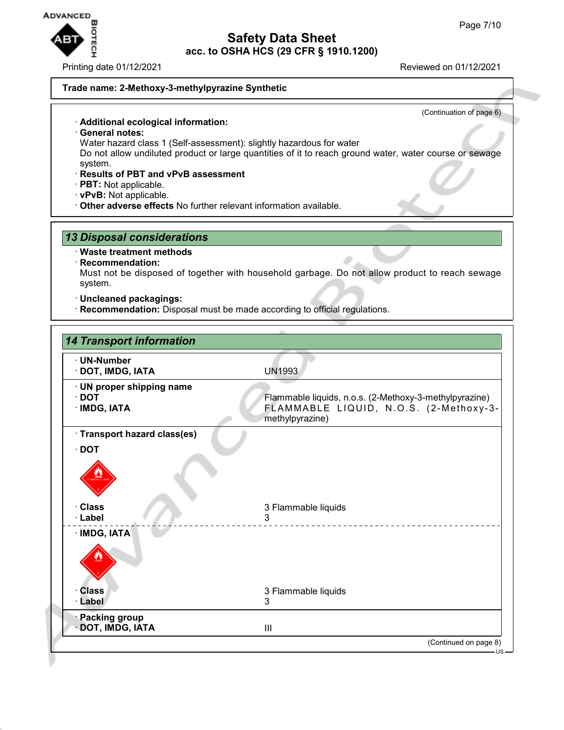

Printing date 01/12/2021 Reviewed on 01/12/2021

(Continuation of page 6)

#### **Trade name: 2-Methoxy-3-methylpyrazine Synthetic**

- · **Additional ecological information:**
- · **General notes:**
- Water hazard class 1 (Self-assessment): slightly hazardous for water

Do not allow undiluted product or large quantities of it to reach ground water, water course or sewage system.

- · **Results of PBT and vPvB assessment**
- · **PBT:** Not applicable.
- · **vPvB:** Not applicable.
- · **Other adverse effects** No further relevant information available.

## *13 Disposal considerations*

#### · **Waste treatment methods**

· **Recommendation:**

Must not be disposed of together with household garbage. Do not allow product to reach sewage system.

- · **Uncleaned packagings:**
- · **Recommendation:** Disposal must be made according to official regulations.

| · UN-Number                  |                                                           |
|------------------------------|-----------------------------------------------------------|
| · DOT, IMDG, IATA            | <b>UN1993</b>                                             |
| · UN proper shipping name    |                                                           |
| $\cdot$ DOT<br>· IMDG, IATA  | Flammable liquids, n.o.s. (2-Methoxy-3-methylpyrazine)    |
|                              | FLAMMABLE LIQUID, N.O.S. (2-Methoxy-3-<br>methylpyrazine) |
| · Transport hazard class(es) |                                                           |
| $\cdot$ DOT                  |                                                           |
|                              |                                                           |
| · Class<br>· Label           | 3 Flammable liquids<br>3                                  |
|                              |                                                           |
| · IMDG, IATA                 |                                                           |
|                              |                                                           |
| <b>Class</b>                 | 3 Flammable liquids                                       |
| · Label                      | 3                                                         |
| <b>Packing group</b>         |                                                           |
| DOT, IMDG, IATA              | III                                                       |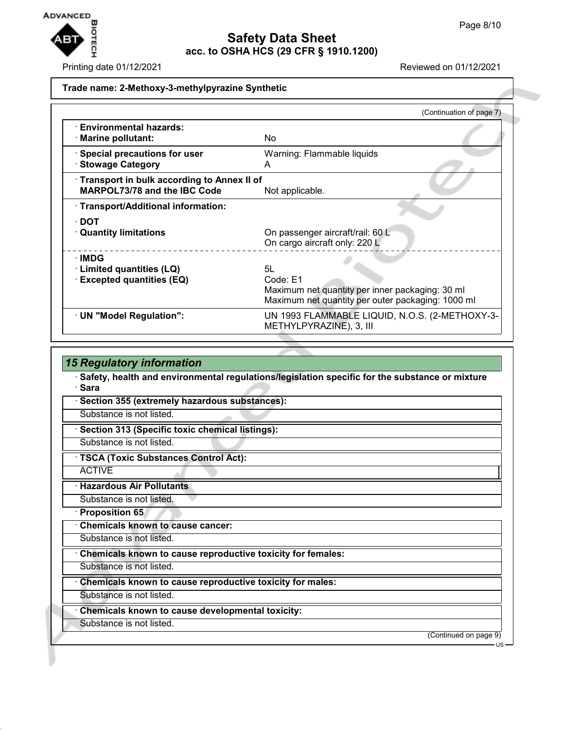

## Printing date 01/12/2021 **Reviewed on 01/12/2021**

## **Trade name: 2-Methoxy-3-methylpyrazine Synthetic**

|                                                                            | (Continuation of page 7)                                                                                         |  |  |
|----------------------------------------------------------------------------|------------------------------------------------------------------------------------------------------------------|--|--|
| <b>Environmental hazards:</b><br><b>Marine pollutant:</b>                  | No.                                                                                                              |  |  |
| Special precautions for user<br><b>Stowage Category</b>                    | Warning: Flammable liquids<br>A                                                                                  |  |  |
| Transport in bulk according to Annex II of<br>MARPOL73/78 and the IBC Code | Not applicable.                                                                                                  |  |  |
| · Transport/Additional information:                                        |                                                                                                                  |  |  |
| $\cdot$ DOT                                                                |                                                                                                                  |  |  |
| <b>Quantity limitations</b>                                                | On passenger aircraft/rail: 60 L<br>On cargo aircraft only: 220 L                                                |  |  |
| ∴IMDG                                                                      |                                                                                                                  |  |  |
| · Limited quantities (LQ)                                                  | 5L                                                                                                               |  |  |
| <b>Excepted quantities (EQ)</b>                                            | Code: E1<br>Maximum net quantity per inner packaging: 30 ml<br>Maximum net quantity per outer packaging: 1000 ml |  |  |
| · UN "Model Regulation":                                                   | UN 1993 FLAMMABLE LIQUID, N.O.S. (2-METHOXY-3-<br>METHYLPYRAZINE), 3, III                                        |  |  |

| <b>15 Regulatory information</b>                                                                           |                       |
|------------------------------------------------------------------------------------------------------------|-----------------------|
| · Safety, health and environmental regulations/legislation specific for the substance or mixture<br>· Sara |                       |
| Section 355 (extremely hazardous substances):                                                              |                       |
| Substance is not listed.                                                                                   |                       |
| · Section 313 (Specific toxic chemical listings):                                                          |                       |
| Substance is not listed.                                                                                   |                       |
| · TSCA (Toxic Substances Control Act):                                                                     |                       |
| <b>ACTIVE</b>                                                                                              |                       |
| · Hazardous Air Pollutants                                                                                 |                       |
| Substance is not listed.                                                                                   |                       |
| · Proposition 65                                                                                           |                       |
| <b>Chemicals known to cause cancer:</b>                                                                    |                       |
| Substance is not listed.                                                                                   |                       |
| Chemicals known to cause reproductive toxicity for females:                                                |                       |
| Substance is not listed.                                                                                   |                       |
| Chemicals known to cause reproductive toxicity for males:                                                  |                       |
| Substance is not listed.                                                                                   |                       |
| Chemicals known to cause developmental toxicity:                                                           |                       |
| Substance is not listed.                                                                                   |                       |
|                                                                                                            | (Continued on page 9) |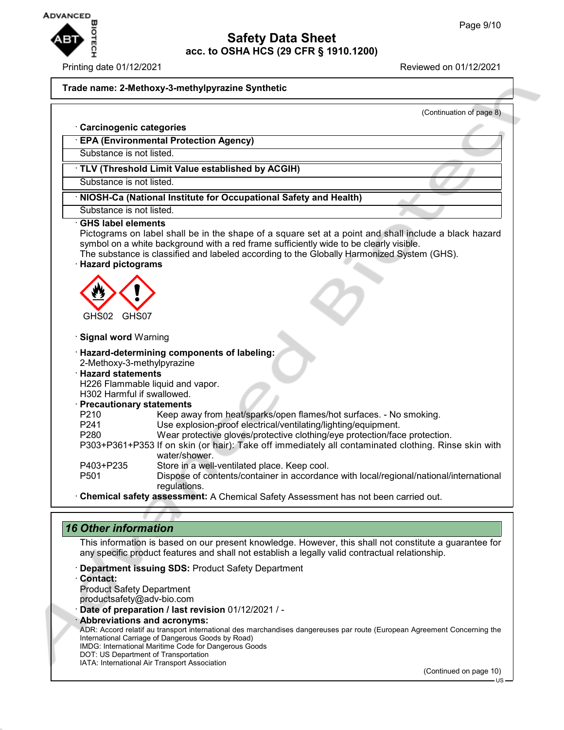

#### Printing date 01/12/2021 Reviewed on 01/12/2021

#### **Trade name: 2-Methoxy-3-methylpyrazine Synthetic**

|                                 | (Continuation of page 8)                                                                                              |  |  |
|---------------------------------|-----------------------------------------------------------------------------------------------------------------------|--|--|
| <b>Carcinogenic categories</b>  |                                                                                                                       |  |  |
|                                 | <b>EPA (Environmental Protection Agency)</b>                                                                          |  |  |
| Substance is not listed.        |                                                                                                                       |  |  |
|                                 | TLV (Threshold Limit Value established by ACGIH)                                                                      |  |  |
| Substance is not listed.        |                                                                                                                       |  |  |
|                                 | NIOSH-Ca (National Institute for Occupational Safety and Health)                                                      |  |  |
| Substance is not listed.        |                                                                                                                       |  |  |
| <b>Hazard pictograms</b>        | The substance is classified and labeled according to the Globally Harmonized System (GHS).                            |  |  |
| GHS02 GHS07                     |                                                                                                                       |  |  |
| <b>Signal word Warning</b>      |                                                                                                                       |  |  |
|                                 | · Hazard-determining components of labeling:                                                                          |  |  |
| 2-Methoxy-3-methylpyrazine      |                                                                                                                       |  |  |
| <b>Hazard statements</b>        | H226 Flammable liquid and vapor.                                                                                      |  |  |
| H302 Harmful if swallowed.      |                                                                                                                       |  |  |
| <b>Precautionary statements</b> |                                                                                                                       |  |  |
| P210                            | Keep away from heat/sparks/open flames/hot surfaces. - No smoking.                                                    |  |  |
| P241                            | Use explosion-proof electrical/ventilating/lighting/equipment.                                                        |  |  |
| P280                            | Wear protective gloves/protective clothing/eye protection/face protection.                                            |  |  |
|                                 | P303+P361+P353 If on skin (or hair): Take off immediately all contaminated clothing. Rinse skin with<br>water/shower. |  |  |
| P403+P235                       | Store in a well-ventilated place. Keep cool.                                                                          |  |  |
| P501                            | Dispose of contents/container in accordance with local/regional/national/international<br>regulations.                |  |  |
|                                 | Chemical safety assessment: A Chemical Safety Assessment has not been carried out.                                    |  |  |

## *16 Other information*

This information is based on our present knowledge. However, this shall not constitute a guarantee for any specific product features and shall not establish a legally valid contractual relationship.

- · **Department issuing SDS:** Product Safety Department
- · **Contact:**

Product Safety Department productsafety@adv-bio.com

· **Date of preparation / last revision** 01/12/2021 / -

· **Abbreviations and acronyms:**

ADR: Accord relatif au transport international des marchandises dangereuses par route (European Agreement Concerning the International Carriage of Dangerous Goods by Road)

IMDG: International Maritime Code for Dangerous Goods

DOT: US Department of Transportation IATA: International Air Transport Association

(Continued on page 10)

US